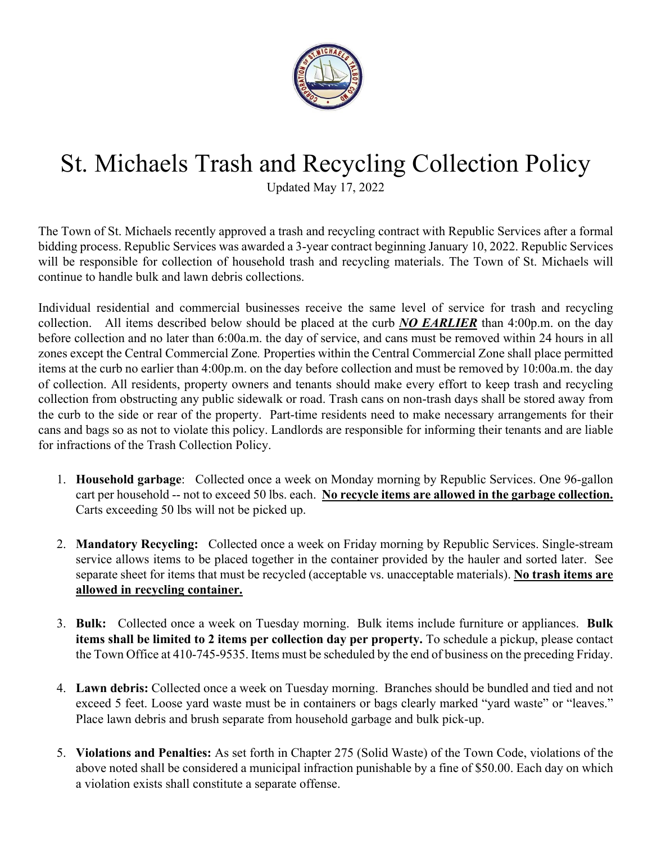

## St. Michaels Trash and Recycling Collection Policy

Updated May 17, 2022

The Town of St. Michaels recently approved a trash and recycling contract with Republic Services after a formal bidding process. Republic Services was awarded a 3-year contract beginning January 10, 2022. Republic Services will be responsible for collection of household trash and recycling materials. The Town of St. Michaels will continue to handle bulk and lawn debris collections.

Individual residential and commercial businesses receive the same level of service for trash and recycling collection. All items described below should be placed at the curb *NO EARLIER* than 4:00p.m. on the day before collection and no later than 6:00a.m. the day of service, and cans must be removed within 24 hours in all zones except the Central Commercial Zone*.* Properties within the Central Commercial Zone shall place permitted items at the curb no earlier than 4:00p.m. on the day before collection and must be removed by 10:00a.m. the day of collection. All residents, property owners and tenants should make every effort to keep trash and recycling collection from obstructing any public sidewalk or road. Trash cans on non-trash days shall be stored away from the curb to the side or rear of the property. Part-time residents need to make necessary arrangements for their cans and bags so as not to violate this policy. Landlords are responsible for informing their tenants and are liable for infractions of the Trash Collection Policy.

- 1. **Household garbage**: Collected once a week on Monday morning by Republic Services. One 96-gallon cart per household -- not to exceed 50 lbs. each. **No recycle items are allowed in the garbage collection.** Carts exceeding 50 lbs will not be picked up.
- 2. **Mandatory Recycling:** Collected once a week on Friday morning by Republic Services. Single-stream service allows items to be placed together in the container provided by the hauler and sorted later. See separate sheet for items that must be recycled (acceptable vs. unacceptable materials). **No trash items are allowed in recycling container.**
- 3. **Bulk:** Collected once a week on Tuesday morning. Bulk items include furniture or appliances. **Bulk items shall be limited to 2 items per collection day per property.** To schedule a pickup, please contact the Town Office at 410-745-9535. Items must be scheduled by the end of business on the preceding Friday.
- 4. **Lawn debris:** Collected once a week on Tuesday morning. Branches should be bundled and tied and not exceed 5 feet. Loose yard waste must be in containers or bags clearly marked "yard waste" or "leaves." Place lawn debris and brush separate from household garbage and bulk pick-up.
- 5. **Violations and Penalties:** As set forth in Chapter 275 (Solid Waste) of the Town Code, violations of the above noted shall be considered a municipal infraction punishable by a fine of \$50.00. Each day on which a violation exists shall constitute a separate offense.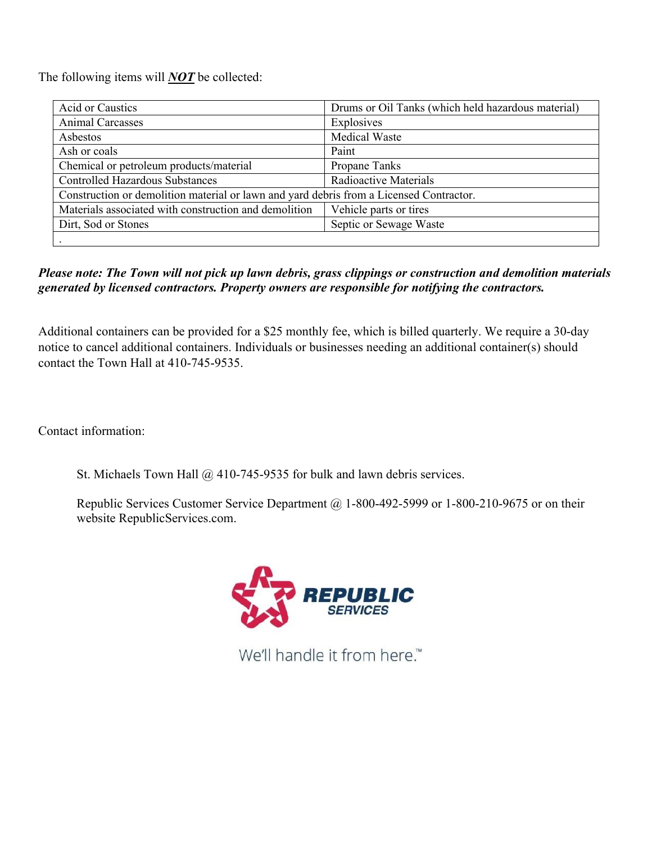The following items will *NOT* be collected:

| Acid or Caustics                                                                        | Drums or Oil Tanks (which held hazardous material) |
|-----------------------------------------------------------------------------------------|----------------------------------------------------|
| <b>Animal Carcasses</b>                                                                 | Explosives                                         |
| Asbestos                                                                                | <b>Medical Waste</b>                               |
| Ash or coals                                                                            | Paint                                              |
| Chemical or petroleum products/material                                                 | Propane Tanks                                      |
| <b>Controlled Hazardous Substances</b>                                                  | Radioactive Materials                              |
| Construction or demolition material or lawn and yard debris from a Licensed Contractor. |                                                    |
| Materials associated with construction and demolition                                   | Vehicle parts or tires                             |
| Dirt, Sod or Stones                                                                     | Septic or Sewage Waste                             |
|                                                                                         |                                                    |

#### *Please note: The Town will not pick up lawn debris, grass clippings or construction and demolition materials generated by licensed contractors. Property owners are responsible for notifying the contractors.*

Additional containers can be provided for a \$25 monthly fee, which is billed quarterly. We require a 30-day notice to cancel additional containers. Individuals or businesses needing an additional container(s) should contact the Town Hall at 410-745-9535.

Contact information:

St. Michaels Town Hall @ 410-745-9535 for bulk and lawn debris services.

Republic Services Customer Service Department @ 1-800-492-5999 or 1-800-210-9675 or on their website RepublicServices.com.



We'll handle it from here.™